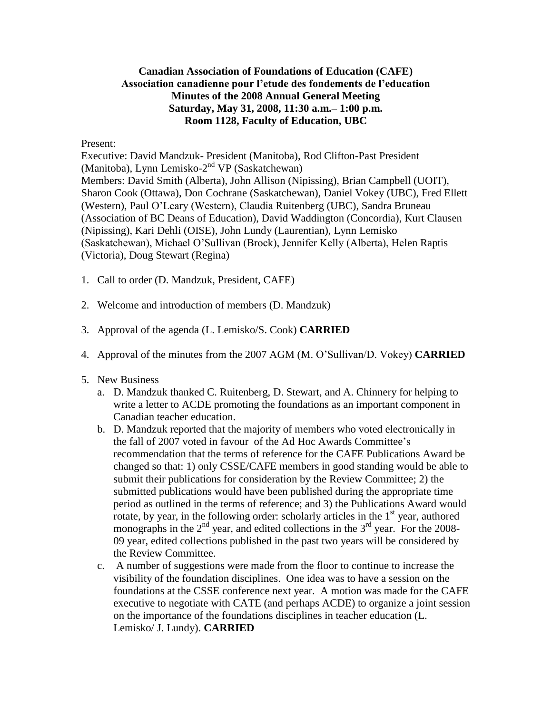## **Canadian Association of Foundations of Education (CAFE) Association canadienne pour l'etude des fondements de l'education Minutes of the 2008 Annual General Meeting Saturday, May 31, 2008, 11:30 a.m.– 1:00 p.m. Room 1128, Faculty of Education, UBC**

## Present:

Executive: David Mandzuk- President (Manitoba), Rod Clifton-Past President (Manitoba), Lynn Lemisko-2<sup>nd</sup> VP (Saskatchewan) Members: David Smith (Alberta), John Allison (Nipissing), Brian Campbell (UOIT), Sharon Cook (Ottawa), Don Cochrane (Saskatchewan), Daniel Vokey (UBC), Fred Ellett (Western), Paul O'Leary (Western), Claudia Ruitenberg (UBC), Sandra Bruneau (Association of BC Deans of Education), David Waddington (Concordia), Kurt Clausen (Nipissing), Kari Dehli (OISE), John Lundy (Laurentian), Lynn Lemisko (Saskatchewan), Michael O'Sullivan (Brock), Jennifer Kelly (Alberta), Helen Raptis (Victoria), Doug Stewart (Regina)

- 1. Call to order (D. Mandzuk, President, CAFE)
- 2. Welcome and introduction of members (D. Mandzuk)
- 3. Approval of the agenda (L. Lemisko/S. Cook) **CARRIED**
- 4. Approval of the minutes from the 2007 AGM (M. O'Sullivan/D. Vokey) **CARRIED**
- 5. New Business
	- a. D. Mandzuk thanked C. Ruitenberg, D. Stewart, and A. Chinnery for helping to write a letter to ACDE promoting the foundations as an important component in Canadian teacher education.
	- b. D. Mandzuk reported that the majority of members who voted electronically in the fall of 2007 voted in favour of the Ad Hoc Awards Committee's recommendation that the terms of reference for the CAFE Publications Award be changed so that: 1) only CSSE/CAFE members in good standing would be able to submit their publications for consideration by the Review Committee; 2) the submitted publications would have been published during the appropriate time period as outlined in the terms of reference; and 3) the Publications Award would rotate, by year, in the following order: scholarly articles in the  $1<sup>st</sup>$  year, authored monographs in the  $2<sup>nd</sup>$  year, and edited collections in the  $3<sup>rd</sup>$  year. For the 2008-09 year, edited collections published in the past two years will be considered by the Review Committee.
	- c. A number of suggestions were made from the floor to continue to increase the visibility of the foundation disciplines. One idea was to have a session on the foundations at the CSSE conference next year. A motion was made for the CAFE executive to negotiate with CATE (and perhaps ACDE) to organize a joint session on the importance of the foundations disciplines in teacher education (L. Lemisko/ J. Lundy). **CARRIED**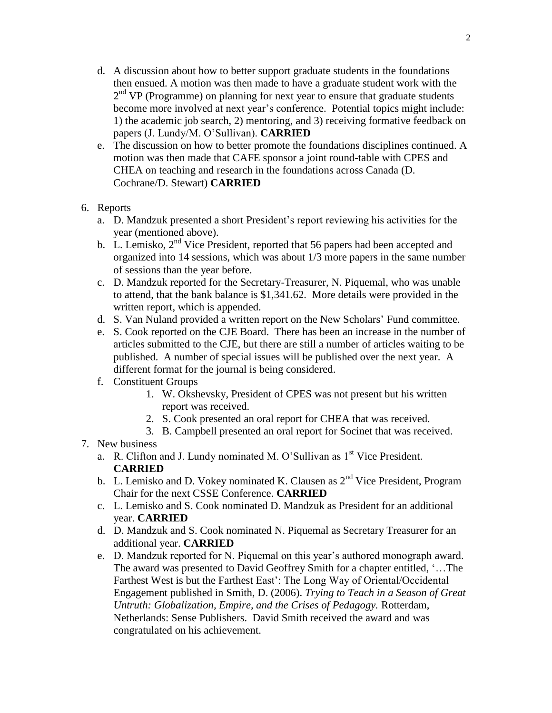- d. A discussion about how to better support graduate students in the foundations then ensued. A motion was then made to have a graduate student work with the 2<sup>nd</sup> VP (Programme) on planning for next year to ensure that graduate students become more involved at next year's conference. Potential topics might include: 1) the academic job search, 2) mentoring, and 3) receiving formative feedback on papers (J. Lundy/M. O'Sullivan). **CARRIED**
- e. The discussion on how to better promote the foundations disciplines continued. A motion was then made that CAFE sponsor a joint round-table with CPES and CHEA on teaching and research in the foundations across Canada (D. Cochrane/D. Stewart) **CARRIED**
- 6. Reports
	- a. D. Mandzuk presented a short President's report reviewing his activities for the year (mentioned above).
	- b. L. Lemisko,  $2<sup>nd</sup>$  Vice President, reported that 56 papers had been accepted and organized into 14 sessions, which was about 1/3 more papers in the same number of sessions than the year before.
	- c. D. Mandzuk reported for the Secretary-Treasurer, N. Piquemal, who was unable to attend, that the bank balance is \$1,341.62. More details were provided in the written report, which is appended.
	- d. S. Van Nuland provided a written report on the New Scholars' Fund committee.
	- e. S. Cook reported on the CJE Board. There has been an increase in the number of articles submitted to the CJE, but there are still a number of articles waiting to be published. A number of special issues will be published over the next year. A different format for the journal is being considered.
	- f. Constituent Groups
		- 1. W. Okshevsky, President of CPES was not present but his written report was received.
		- 2. S. Cook presented an oral report for CHEA that was received.
		- 3. B. Campbell presented an oral report for Socinet that was received.
- 7. New business
	- a. R. Clifton and J. Lundy nominated M. O'Sullivan as  $1<sup>st</sup>$  Vice President. **CARRIED**
	- b. L. Lemisko and D. Vokey nominated K. Clausen as  $2^{nd}$  Vice President, Program Chair for the next CSSE Conference. **CARRIED**
	- c. L. Lemisko and S. Cook nominated D. Mandzuk as President for an additional year. **CARRIED**
	- d. D. Mandzuk and S. Cook nominated N. Piquemal as Secretary Treasurer for an additional year. **CARRIED**
	- e. D. Mandzuk reported for N. Piquemal on this year's authored monograph award. The award was presented to David Geoffrey Smith for a chapter entitled, '…The Farthest West is but the Farthest East': The Long Way of Oriental/Occidental Engagement published in Smith, D. (2006). *Trying to Teach in a Season of Great Untruth: Globalization, Empire, and the Crises of Pedagogy.* Rotterdam, Netherlands: Sense Publishers. David Smith received the award and was congratulated on his achievement.